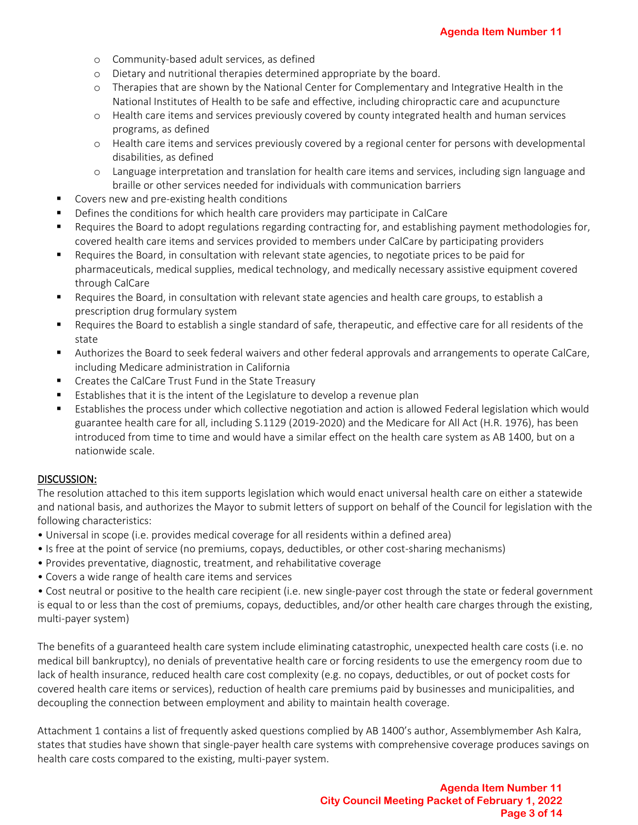- o Community-based adult services, as defined
- o Dietary and nutritional therapies determined appropriate by the board.
- o Therapies that are shown by the National Center for Complementary and Integrative Health in the National Institutes of Health to be safe and effective, including chiropractic care and acupuncture
- o Health care items and services previously covered by county integrated health and human services programs, as defined
- o Health care items and services previously covered by a regional center for persons with developmental disabilities, as defined
- o Language interpretation and translation for health care items and services, including sign language and braille or other services needed for individuals with communication barriers
- Covers new and pre-existing health conditions
- Defines the conditions for which health care providers may participate in CalCare
- Requires the Board to adopt regulations regarding contracting for, and establishing payment methodologies for, covered health care items and services provided to members under CalCare by participating providers
- Requires the Board, in consultation with relevant state agencies, to negotiate prices to be paid for pharmaceuticals, medical supplies, medical technology, and medically necessary assistive equipment covered through CalCare
- Requires the Board, in consultation with relevant state agencies and health care groups, to establish a prescription drug formulary system
- Requires the Board to establish a single standard of safe, therapeutic, and effective care for all residents of the state
- Authorizes the Board to seek federal waivers and other federal approvals and arrangements to operate CalCare, including Medicare administration in California
- Creates the CalCare Trust Fund in the State Treasury
- Establishes that it is the intent of the Legislature to develop a revenue plan
- Establishes the process under which collective negotiation and action is allowed Federal legislation which would guarantee health care for all, including S.1129 (2019-2020) and the Medicare for All Act (H.R. 1976), has been introduced from time to time and would have a similar effect on the health care system as AB 1400, but on a nationwide scale.

#### DISCUSSION:

The resolution attached to this item supports legislation which would enact universal health care on either a statewide and national basis, and authorizes the Mayor to submit letters of support on behalf of the Council for legislation with the following characteristics:

- Universal in scope (i.e. provides medical coverage for all residents within a defined area)
- Is free at the point of service (no premiums, copays, deductibles, or other cost-sharing mechanisms)
- Provides preventative, diagnostic, treatment, and rehabilitative coverage
- Covers a wide range of health care items and services

• Cost neutral or positive to the health care recipient (i.e. new single-payer cost through the state or federal government is equal to or less than the cost of premiums, copays, deductibles, and/or other health care charges through the existing, multi-payer system)

The benefits of a guaranteed health care system include eliminating catastrophic, unexpected health care costs (i.e. no medical bill bankruptcy), no denials of preventative health care or forcing residents to use the emergency room due to lack of health insurance, reduced health care cost complexity (e.g. no copays, deductibles, or out of pocket costs for covered health care items or services), reduction of health care premiums paid by businesses and municipalities, and decoupling the connection between employment and ability to maintain health coverage.

Attachment 1 contains a list of frequently asked questions complied by AB 1400's author, Assemblymember Ash Kalra, states that studies have shown that single-payer health care systems with comprehensive coverage produces savings on health care costs compared to the existing, multi-payer system.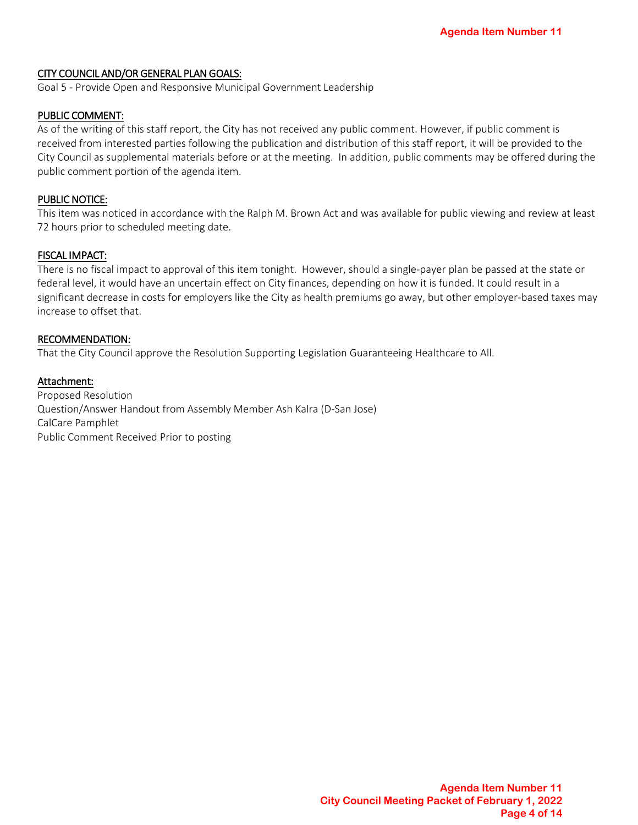#### CITY COUNCIL AND/OR GENERAL PLAN GOALS:

Goal 5 - Provide Open and Responsive Municipal Government Leadership

#### PUBLIC COMMENT:

As of the writing of this staff report, the City has not received any public comment. However, if public comment is received from interested parties following the publication and distribution of this staff report, it will be provided to the City Council as supplemental materials before or at the meeting. In addition, public comments may be offered during the public comment portion of the agenda item.

#### PUBLIC NOTICE:

This item was noticed in accordance with the Ralph M. Brown Act and was available for public viewing and review at least 72 hours prior to scheduled meeting date.

#### FISCAL IMPACT:

There is no fiscal impact to approval of this item tonight. However, should a single-payer plan be passed at the state or federal level, it would have an uncertain effect on City finances, depending on how it is funded. It could result in a significant decrease in costs for employers like the City as health premiums go away, but other employer-based taxes may increase to offset that.

#### RECOMMENDATION:

That the City Council approve the Resolution Supporting Legislation Guaranteeing Healthcare to All.

#### Attachment:

Proposed Resolution Question/Answer Handout from Assembly Member Ash Kalra (D-San Jose) CalCare Pamphlet Public Comment Received Prior to posting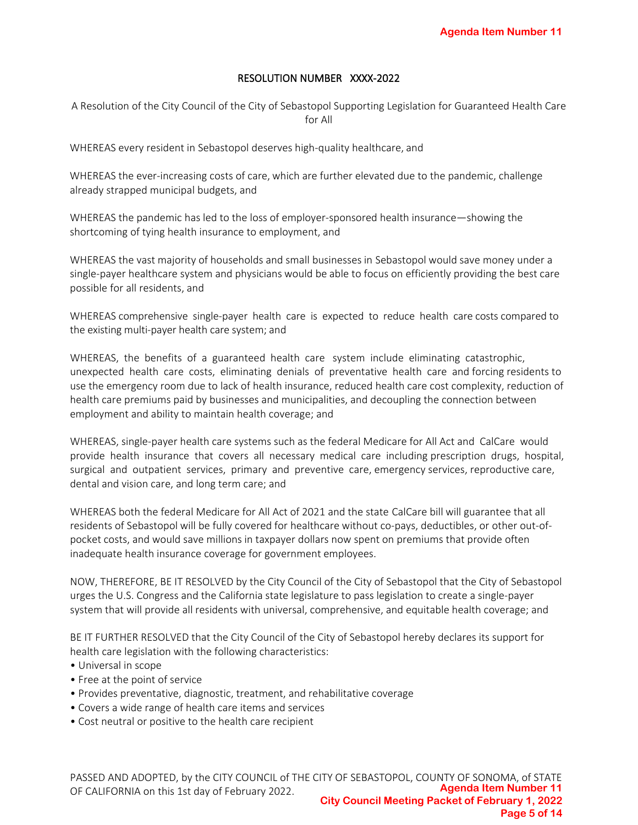#### RESOLUTION NUMBER XXXX-2022

A Resolution of the City Council of the City of Sebastopol Supporting Legislation for Guaranteed Health Care for All

WHEREAS every resident in Sebastopol deserves high-quality healthcare, and

WHEREAS the ever-increasing costs of care, which are further elevated due to the pandemic, challenge already strapped municipal budgets, and

WHEREAS the pandemic has led to the loss of employer-sponsored health insurance—showing the shortcoming of tying health insurance to employment, and

WHEREAS the vast majority of households and small businesses in Sebastopol would save money under a single-payer healthcare system and physicians would be able to focus on efficiently providing the best care possible for all residents, and

WHEREAS comprehensive single-payer health care is expected to reduce health care costs compared to the existing multi-payer health care system; and

WHEREAS, the benefits of a guaranteed health care system include eliminating catastrophic, unexpected health care costs, eliminating denials of preventative health care and forcing residents to use the emergency room due to lack of health insurance, reduced health care cost complexity, reduction of health care premiums paid by businesses and municipalities, and decoupling the connection between employment and ability to maintain health coverage; and

WHEREAS, single-payer health care systems such as the federal Medicare for All Act and CalCare would provide health insurance that covers all necessary medical care including prescription drugs, hospital, surgical and outpatient services, primary and preventive care, emergency services, reproductive care, dental and vision care, and long term care; and

WHEREAS both the federal Medicare for All Act of 2021 and the state CalCare bill will guarantee that all residents of Sebastopol will be fully covered for healthcare without co-pays, deductibles, or other out-ofpocket costs, and would save millions in taxpayer dollars now spent on premiums that provide often inadequate health insurance coverage for government employees.

NOW, THEREFORE, BE IT RESOLVED by the City Council of the City of Sebastopol that the City of Sebastopol urges the U.S. Congress and the California state legislature to pass legislation to create a single-payer system that will provide all residents with universal, comprehensive, and equitable health coverage; and

BE IT FURTHER RESOLVED that the City Council of the City of Sebastopol hereby declares its support for health care legislation with the following characteristics:

- Universal in scope
- Free at the point of service
- Provides preventative, diagnostic, treatment, and rehabilitative coverage
- Covers a wide range of health care items and services
- Cost neutral or positive to the health care recipient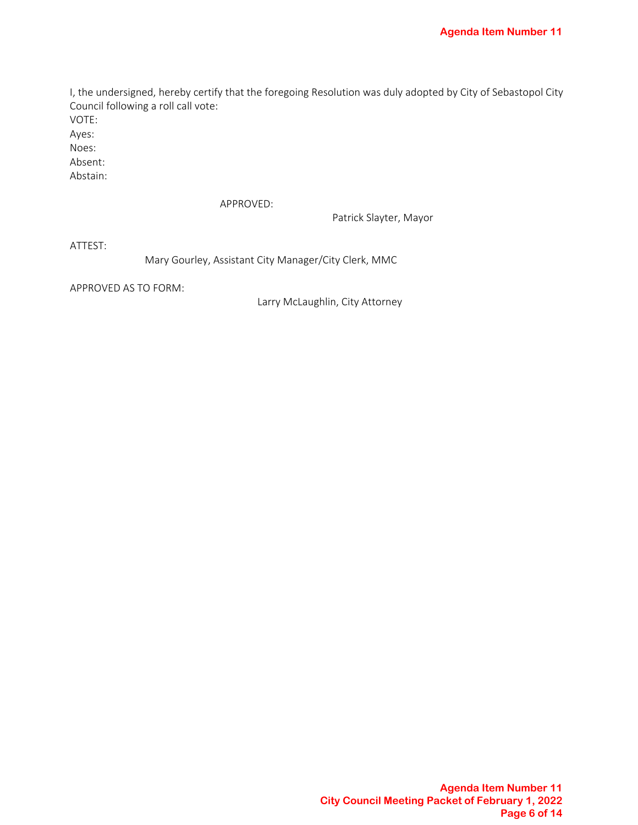I, the undersigned, hereby certify that the foregoing Resolution was duly adopted by City of Sebastopol City Council following a roll call vote:

VOTE:

Ayes:

Noes: Absent:

Abstain:

APPROVED:

Patrick Slayter, Mayor

ATTEST:

Mary Gourley, Assistant City Manager/City Clerk, MMC

APPROVED AS TO FORM:

Larry McLaughlin, City Attorney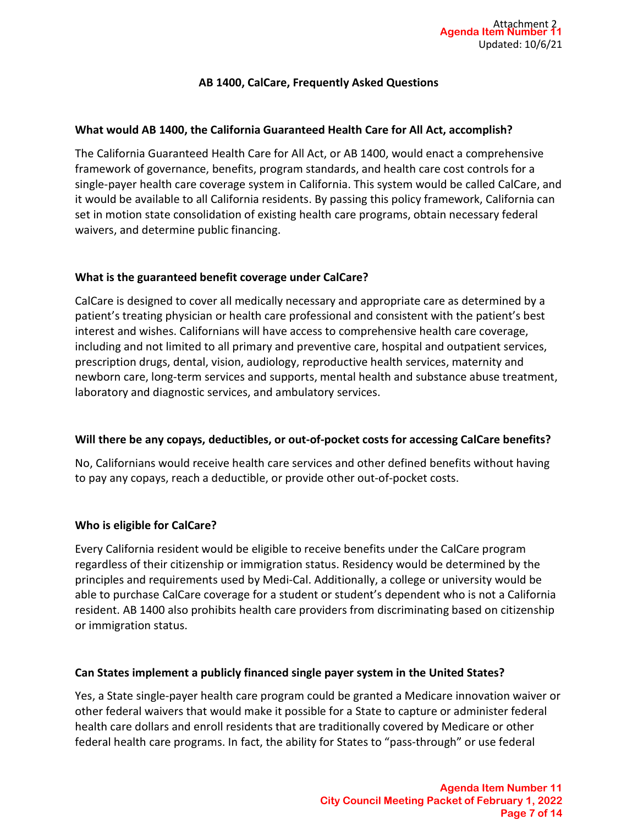## AB 1400, CalCare, Frequently Asked Questions

## What would AB 1400, the California Guaranteed Health Care for All Act, accomplish?

The California Guaranteed Health Care for All Act, or AB 1400, would enact a comprehensive framework of governance, benefits, program standards, and health care cost controls for a single-payer health care coverage system in California. This system would be called CalCare, and it would be available to all California residents. By passing this policy framework, California can set in motion state consolidation of existing health care programs, obtain necessary federal waivers, and determine public financing.

## What is the guaranteed benefit coverage under CalCare?

CalCare is designed to cover all medically necessary and appropriate care as determined by a patient's treating physician or health care professional and consistent with the patient's best interest and wishes. Californians will have access to comprehensive health care coverage, including and not limited to all primary and preventive care, hospital and outpatient services, prescription drugs, dental, vision, audiology, reproductive health services, maternity and newborn care, long-term services and supports, mental health and substance abuse treatment, laboratory and diagnostic services, and ambulatory services.

## Will there be any copays, deductibles, or out-of-pocket costs for accessing CalCare benefits?

No, Californians would receive health care services and other defined benefits without having to pay any copays, reach a deductible, or provide other out-of-pocket costs.

## Who is eligible for CalCare?

Every California resident would be eligible to receive benefits under the CalCare program regardless of their citizenship or immigration status. Residency would be determined by the principles and requirements used by Medi-Cal. Additionally, a college or university would be able to purchase CalCare coverage for a student or student's dependent who is not a California resident. AB 1400 also prohibits health care providers from discriminating based on citizenship or immigration status.

## Can States implement a publicly financed single payer system in the United States?

Yes, a State single-payer health care program could be granted a Medicare innovation waiver or other federal waivers that would make it possible for a State to capture or administer federal health care dollars and enroll residents that are traditionally covered by Medicare or other federal health care programs. In fact, the ability for States to "pass-through" or use federal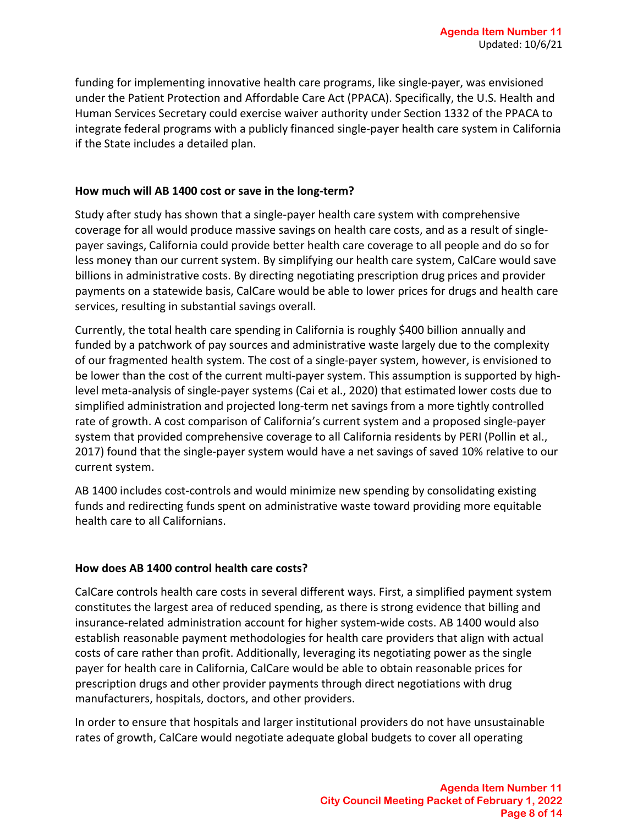funding for implementing innovative health care programs, like single-payer, was envisioned under the Patient Protection and Affordable Care Act (PPACA). Specifically, the U.S. Health and Human Services Secretary could exercise waiver authority under Section 1332 of the PPACA to integrate federal programs with a publicly financed single-payer health care system in California if the State includes a detailed plan.

## How much will AB 1400 cost or save in the long-term?

Study after study has shown that a single-payer health care system with comprehensive coverage for all would produce massive savings on health care costs, and as a result of singlepayer savings, California could provide better health care coverage to all people and do so for less money than our current system. By simplifying our health care system, CalCare would save billions in administrative costs. By directing negotiating prescription drug prices and provider payments on a statewide basis, CalCare would be able to lower prices for drugs and health care services, resulting in substantial savings overall.

Currently, the total health care spending in California is roughly \$400 billion annually and funded by a patchwork of pay sources and administrative waste largely due to the complexity of our fragmented health system. The cost of a single-payer system, however, is envisioned to be lower than the cost of the current multi-payer system. This assumption is supported by highlevel meta-analysis of single-payer systems (Cai et al., 2020) that estimated lower costs due to simplified administration and projected long-term net savings from a more tightly controlled rate of growth. A cost comparison of California's current system and a proposed single-payer system that provided comprehensive coverage to all California residents by PERI (Pollin et al., 2017) found that the single-payer system would have a net savings of saved 10% relative to our current system.

AB 1400 includes cost-controls and would minimize new spending by consolidating existing funds and redirecting funds spent on administrative waste toward providing more equitable health care to all Californians.

## How does AB 1400 control health care costs?

CalCare controls health care costs in several different ways. First, a simplified payment system constitutes the largest area of reduced spending, as there is strong evidence that billing and insurance-related administration account for higher system-wide costs. AB 1400 would also establish reasonable payment methodologies for health care providers that align with actual costs of care rather than profit. Additionally, leveraging its negotiating power as the single payer for health care in California, CalCare would be able to obtain reasonable prices for prescription drugs and other provider payments through direct negotiations with drug manufacturers, hospitals, doctors, and other providers.

In order to ensure that hospitals and larger institutional providers do not have unsustainable rates of growth, CalCare would negotiate adequate global budgets to cover all operating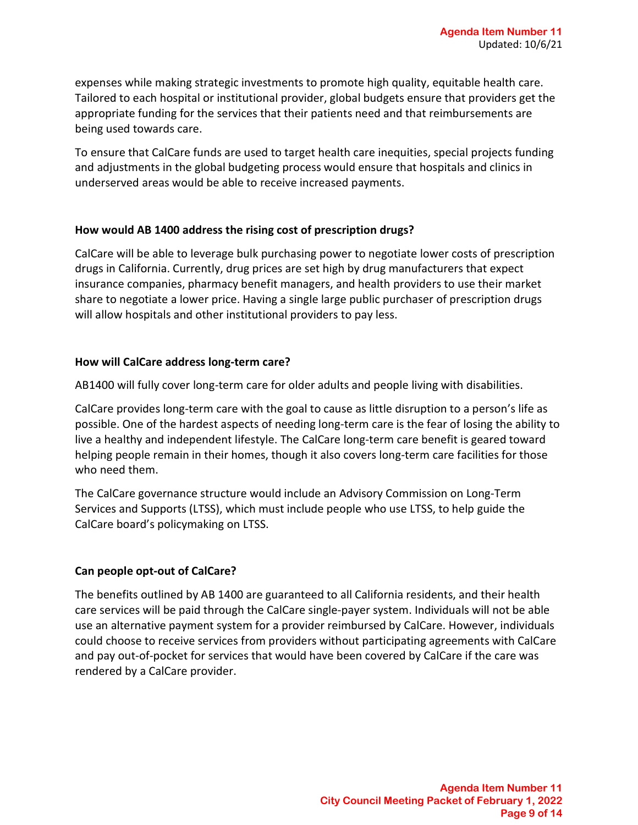expenses while making strategic investments to promote high quality, equitable health care. Tailored to each hospital or institutional provider, global budgets ensure that providers get the appropriate funding for the services that their patients need and that reimbursements are being used towards care.

To ensure that CalCare funds are used to target health care inequities, special projects funding and adjustments in the global budgeting process would ensure that hospitals and clinics in underserved areas would be able to receive increased payments.

## How would AB 1400 address the rising cost of prescription drugs?

CalCare will be able to leverage bulk purchasing power to negotiate lower costs of prescription drugs in California. Currently, drug prices are set high by drug manufacturers that expect insurance companies, pharmacy benefit managers, and health providers to use their market share to negotiate a lower price. Having a single large public purchaser of prescription drugs will allow hospitals and other institutional providers to pay less.

#### How will CalCare address long-term care?

AB1400 will fully cover long-term care for older adults and people living with disabilities.

CalCare provides long-term care with the goal to cause as little disruption to a person's life as possible. One of the hardest aspects of needing long-term care is the fear of losing the ability to live a healthy and independent lifestyle. The CalCare long-term care benefit is geared toward helping people remain in their homes, though it also covers long-term care facilities for those who need them.

The CalCare governance structure would include an Advisory Commission on Long-Term Services and Supports (LTSS), which must include people who use LTSS, to help guide the CalCare board's policymaking on LTSS.

## Can people opt-out of CalCare?

The benefits outlined by AB 1400 are guaranteed to all California residents, and their health care services will be paid through the CalCare single-payer system. Individuals will not be able use an alternative payment system for a provider reimbursed by CalCare. However, individuals could choose to receive services from providers without participating agreements with CalCare and pay out-of-pocket for services that would have been covered by CalCare if the care was rendered by a CalCare provider.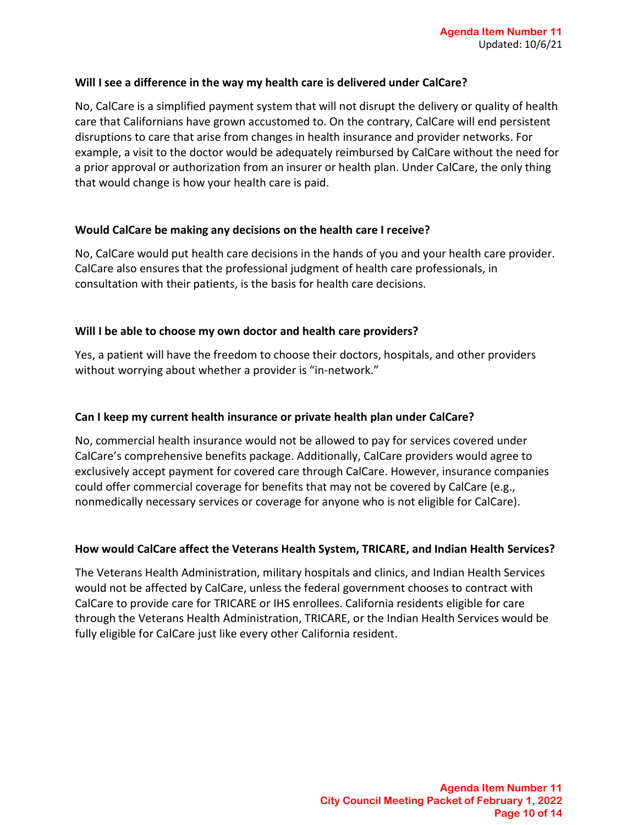#### Will I see a difference in the way my health care is delivered under CalCare?

No, CalCare is a simplified payment system that will not disrupt the delivery or quality of health care that Californians have grown accustomed to. On the contrary, CalCare will end persistent disruptions to care that arise from changes in health insurance and provider networks. For example, a visit to the doctor would be adequately reimbursed by CalCare without the need for a prior approval or authorization from an insurer or health plan. Under CalCare, the only thing that would change is how your health care is paid.

## Would CalCare be making any decisions on the health care I receive?

No, CalCare would put health care decisions in the hands of you and your health care provider. CalCare also ensures that the professional judgment of health care professionals, in consultation with their patients, is the basis for health care decisions.

#### Will I be able to choose my own doctor and health care providers?

Yes, a patient will have the freedom to choose their doctors, hospitals, and other providers without worrying about whether a provider is "in-network."

#### Can I keep my current health insurance or private health plan under CalCare?

No, commercial health insurance would not be allowed to pay for services covered under CalCare's comprehensive benefits package. Additionally, CalCare providers would agree to exclusively accept payment for covered care through CalCare. However, insurance companies could offer commercial coverage for benefits that may not be covered by CalCare (e.g., nonmedically necessary services or coverage for anyone who is not eligible for CalCare).

## How would CalCare affect the Veterans Health System, TRICARE, and Indian Health Services?

The Veterans Health Administration, military hospitals and clinics, and Indian Health Services would not be affected by CalCare, unless the federal government chooses to contract with CalCare to provide care for TRICARE or IHS enrollees. California residents eligible for care through the Veterans Health Administration, TRICARE, or the Indian Health Services would be fully eligible for CalCare just like every other California resident.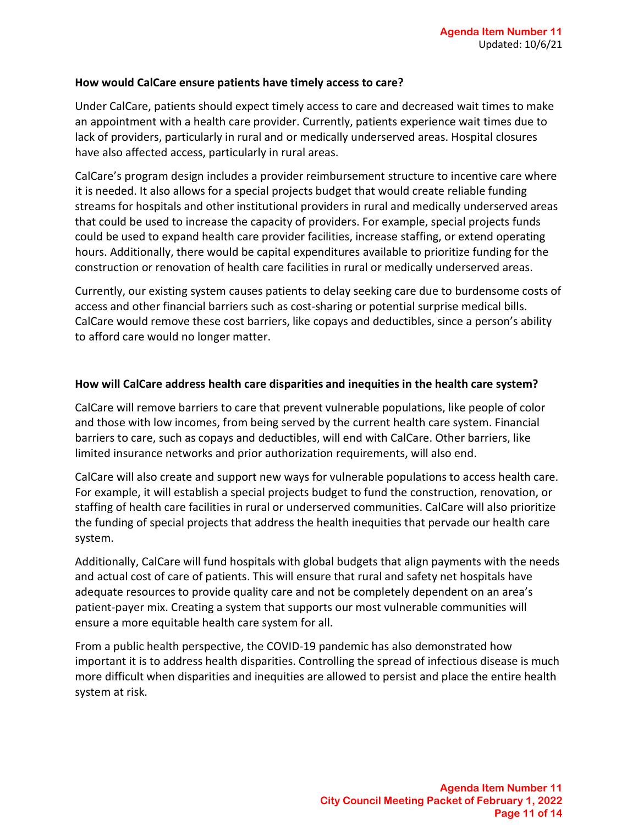#### How would CalCare ensure patients have timely access to care?

Under CalCare, patients should expect timely access to care and decreased wait times to make an appointment with a health care provider. Currently, patients experience wait times due to lack of providers, particularly in rural and or medically underserved areas. Hospital closures have also affected access, particularly in rural areas.

CalCare's program design includes a provider reimbursement structure to incentive care where it is needed. It also allows for a special projects budget that would create reliable funding streams for hospitals and other institutional providers in rural and medically underserved areas that could be used to increase the capacity of providers. For example, special projects funds could be used to expand health care provider facilities, increase staffing, or extend operating hours. Additionally, there would be capital expenditures available to prioritize funding for the construction or renovation of health care facilities in rural or medically underserved areas.

Currently, our existing system causes patients to delay seeking care due to burdensome costs of access and other financial barriers such as cost-sharing or potential surprise medical bills. CalCare would remove these cost barriers, like copays and deductibles, since a person's ability to afford care would no longer matter.

#### How will CalCare address health care disparities and inequities in the health care system?

CalCare will remove barriers to care that prevent vulnerable populations, like people of color and those with low incomes, from being served by the current health care system. Financial barriers to care, such as copays and deductibles, will end with CalCare. Other barriers, like limited insurance networks and prior authorization requirements, will also end.

CalCare will also create and support new ways for vulnerable populations to access health care. For example, it will establish a special projects budget to fund the construction, renovation, or staffing of health care facilities in rural or underserved communities. CalCare will also prioritize the funding of special projects that address the health inequities that pervade our health care system.

Additionally, CalCare will fund hospitals with global budgets that align payments with the needs and actual cost of care of patients. This will ensure that rural and safety net hospitals have adequate resources to provide quality care and not be completely dependent on an area's patient-payer mix. Creating a system that supports our most vulnerable communities will ensure a more equitable health care system for all.

From a public health perspective, the COVID-19 pandemic has also demonstrated how important it is to address health disparities. Controlling the spread of infectious disease is much more difficult when disparities and inequities are allowed to persist and place the entire health system at risk.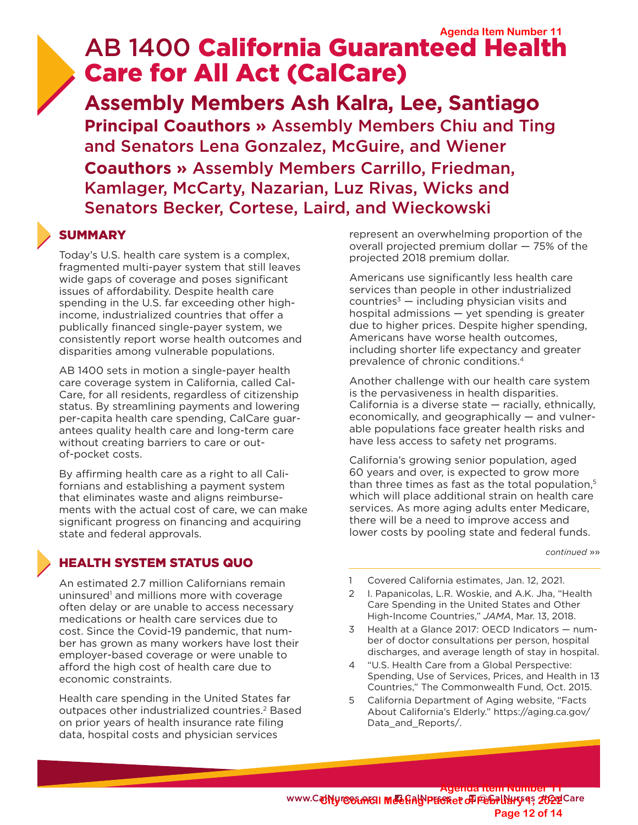# AB 1400 California Guaranteed Health Care for All Act (CalCare) **Agenda Item Number 5**

**Assembly Members Ash Kalra, Lee, Santiago Principal Coauthors »** Assembly Members Chiu and Ting and Senators Lena Gonzalez, McGuire, and Wiener **Coauthors »** Assembly Members Carrillo, Friedman, Kamlager, McCarty, Nazarian, Luz Rivas, Wicks and Senators Becker, Cortese, Laird, and Wieckowski

## **SUMMARY**

Today's U.S. health care system is a complex, fragmented multi-payer system that still leaves wide gaps of coverage and poses significant issues of affordability. Despite health care spending in the U.S. far exceeding other highincome, industrialized countries that offer a publically financed single-payer system, we consistently report worse health outcomes and disparities among vulnerable populations.

AB 1400 sets in motion a single-payer health care coverage system in California, called Cal-Care, for all residents, regardless of citizenship status. By streamlining payments and lowering per-capita health care spending, CalCare guarantees quality health care and long-term care without creating barriers to care or outof-pocket costs.

By affirming health care as a right to all Californians and establishing a payment system that eliminates waste and aligns reimbursements with the actual cost of care, we can make significant progress on financing and acquiring state and federal approvals.

## HEALTH SYSTEM STATUS QUO

An estimated 2.7 million Californians remain uninsured<sup>1</sup> and millions more with coverage often delay or are unable to access necessary medications or health care services due to cost. Since the Covid-19 pandemic, that number has grown as many workers have lost their employer-based coverage or were unable to afford the high cost of health care due to economic constraints.

Health care spending in the United States far outpaces other industrialized countries.<sup>2</sup> Based on prior years of health insurance rate filing data, hospital costs and physician services

represent an overwhelming proportion of the overall projected premium dollar — 75% of the projected 2018 premium dollar.

Americans use significantly less health care services than people in other industrialized countries<sup> $3$ </sup> — including physician visits and hospital admissions — yet spending is greater due to higher prices. Despite higher spending, Americans have worse health outcomes, including shorter life expectancy and greater prevalence of chronic conditions.4

Another challenge with our health care system is the pervasiveness in health disparities. California is a diverse state — racially, ethnically, economically, and geographically — and vulnerable populations face greater health risks and have less access to safety net programs.

California's growing senior population, aged 60 years and over, is expected to grow more than three times as fast as the total population,<sup>5</sup> which will place additional strain on health care services. As more aging adults enter Medicare, there will be a need to improve access and lower costs by pooling state and federal funds.

 *continued* »»

- 1 Covered California estimates, Jan. 12, 2021.
- 2 I. Papanicolas, L.R. Woskie, and A.K. Jha, "Health Care Spending in the United States and Other High-Income Countries," *JAMA*, Mar. 13, 2018.
- 3 Health at a Glance 2017: OECD Indicators number of doctor consultations per person, hospital discharges, and average length of stay in hospital.
- 4 "U.S. Health Care from a Global Perspective: Spending, Use of Services, Prices, and Health in 13 Countries," The Commonwealth Fund, Oct. 2015.
- 5 California Department of Aging website, "Facts About California's Elderly." https://aging.ca.gov/ Data and Reports/.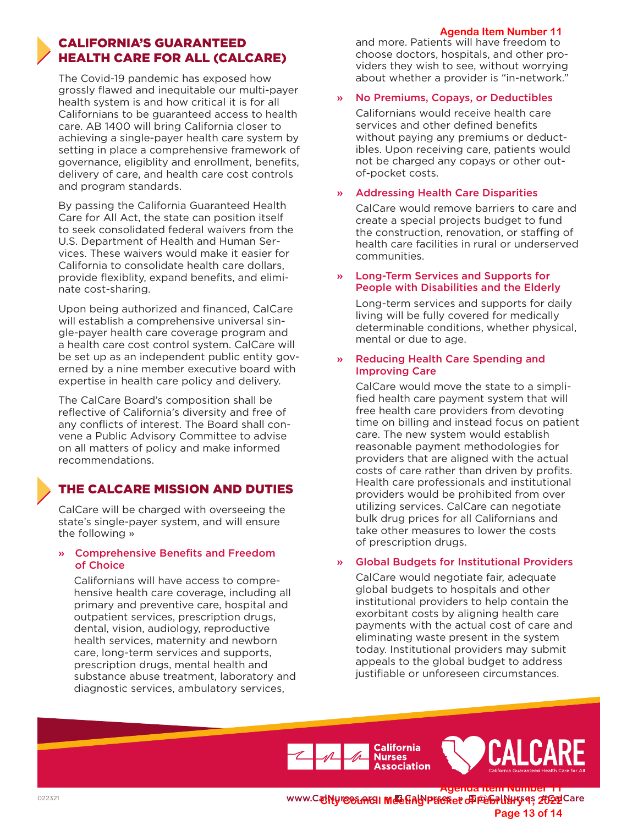#### **Agenda Item Number 5**

## CALIFORNIA'S GUARANTEED HEALTH CARE FOR ALL (CALCARE)

The Covid-19 pandemic has exposed how grossly flawed and inequitable our multi-payer health system is and how critical it is for all Californians to be guaranteed access to health care. AB 1400 will bring California closer to achieving a single-payer health care system by setting in place a comprehensive framework of governance, eligiblity and enrollment, benefits, delivery of care, and health care cost controls and program standards.

By passing the California Guaranteed Health Care for All Act, the state can position itself to seek consolidated federal waivers from the U.S. Department of Health and Human Services. These waivers would make it easier for California to consolidate health care dollars, provide flexiblity, expand benefits, and eliminate cost-sharing.

Upon being authorized and financed, CalCare will establish a comprehensive universal single-payer health care coverage program and a health care cost control system. CalCare will be set up as an independent public entity governed by a nine member executive board with expertise in health care policy and delivery.

The CalCare Board's composition shall be reflective of California's diversity and free of any conflicts of interest. The Board shall convene a Public Advisory Committee to advise on all matters of policy and make informed recommendations.

## THE CALCARE MISSION AND DUTIES

CalCare will be charged with overseeing the state's single-payer system, and will ensure the following »

#### » Comprehensive Benefits and Freedom of Choice

Californians will have access to comprehensive health care coverage, including all primary and preventive care, hospital and outpatient services, prescription drugs, dental, vision, audiology, reproductive health services, maternity and newborn care, long-term services and supports, prescription drugs, mental health and substance abuse treatment, laboratory and diagnostic services, ambulatory services,

and more. Patients will have freedom to choose doctors, hospitals, and other providers they wish to see, without worrying about whether a provider is "in-network."

#### » No Premiums, Copays, or Deductibles

Californians would receive health care services and other defined benefits without paying any premiums or deductibles. Upon receiving care, patients would not be charged any copays or other outof-pocket costs.

#### » Addressing Health Care Disparities

CalCare would remove barriers to care and create a special projects budget to fund the construction, renovation, or staffing of health care facilities in rural or underserved communities.

#### » Long-Term Services and Supports for People with Disabilities and the Elderly

Long-term services and supports for daily living will be fully covered for medically determinable conditions, whether physical, mental or due to age.

#### » Reducing Health Care Spending and Improving Care

CalCare would move the state to a simplified health care payment system that will free health care providers from devoting time on billing and instead focus on patient care. The new system would establish reasonable payment methodologies for providers that are aligned with the actual costs of care rather than driven by profits. Health care professionals and institutional providers would be prohibited from over utilizing services. CalCare can negotiate bulk drug prices for all Californians and take other measures to lower the costs of prescription drugs.

#### » Global Budgets for Institutional Providers

CalCare would negotiate fair, adequate global budgets to hospitals and other institutional providers to help contain the exorbitant costs by aligning health care payments with the actual cost of care and eliminating waste present in the system today. Institutional providers may submit appeals to the global budget to address justifiable or unforeseen circumstances.





**www.CalNyres&Arg1 Meeting Preserved of February 4022 Care Agenda Item Number 5 Page 13 of 14**